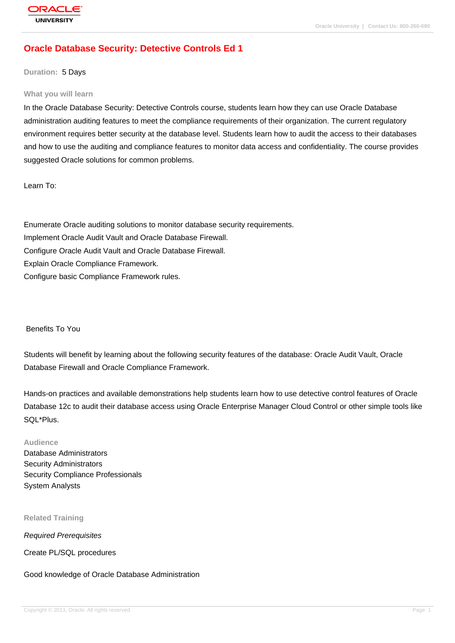# **[Oracle Databas](http://education.oracle.com/pls/web_prod-plq-dad/db_pages.getpage?page_id=3)e Security: Detective Controls Ed 1**

**Duration:** 5 Days

#### **What you will learn**

In the Oracle Database Security: Detective Controls course, students learn how they can use Oracle Database administration auditing features to meet the compliance requirements of their organization. The current regulatory environment requires better security at the database level. Students learn how to audit the access to their databases and how to use the auditing and compliance features to monitor data access and confidentiality. The course provides suggested Oracle solutions for common problems.

Learn To:

Enumerate Oracle auditing solutions to monitor database security requirements. Implement Oracle Audit Vault and Oracle Database Firewall. Configure Oracle Audit Vault and Oracle Database Firewall. Explain Oracle Compliance Framework. Configure basic Compliance Framework rules.

Benefits To You

Students will benefit by learning about the following security features of the database: Oracle Audit Vault, Oracle Database Firewall and Oracle Compliance Framework.

Hands-on practices and available demonstrations help students learn how to use detective control features of Oracle Database 12c to audit their database access using Oracle Enterprise Manager Cloud Control or other simple tools like SQL\*Plus.

### **Audience**

Database Administrators Security Administrators Security Compliance Professionals System Analysts

#### **Related Training**

Required Prerequisites

Create PL/SQL procedures

#### Good knowledge of Oracle Database Administration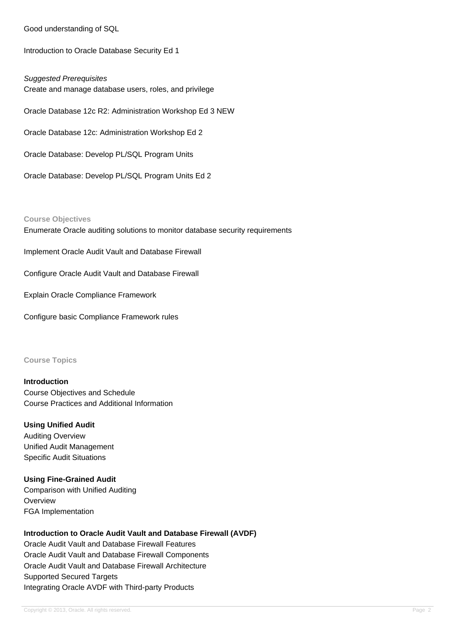Good understanding of SQL

Introduction to Oracle Database Security Ed 1

Suggested Prerequisites Create and manage database users, roles, and privilege Oracle Database 12c R2: Administration Workshop Ed 3 NEW Oracle Database 12c: Administration Workshop Ed 2 Oracle Database: Develop PL/SQL Program Units Oracle Database: Develop PL/SQL Program Units Ed 2

**Course Objectives**

Enumerate Oracle auditing solutions to monitor database security requirements

Implement Oracle Audit Vault and Database Firewall

Configure Oracle Audit Vault and Database Firewall

Explain Oracle Compliance Framework

Configure basic Compliance Framework rules

**Course Topics**

**Introduction** Course Objectives and Schedule Course Practices and Additional Information

**Using Unified Audit**

Auditing Overview Unified Audit Management Specific Audit Situations

**Using Fine-Grained Audit** Comparison with Unified Auditing **Overview** FGA Implementation

#### **Introduction to Oracle Audit Vault and Database Firewall (AVDF)**

Oracle Audit Vault and Database Firewall Features Oracle Audit Vault and Database Firewall Components Oracle Audit Vault and Database Firewall Architecture Supported Secured Targets Integrating Oracle AVDF with Third-party Products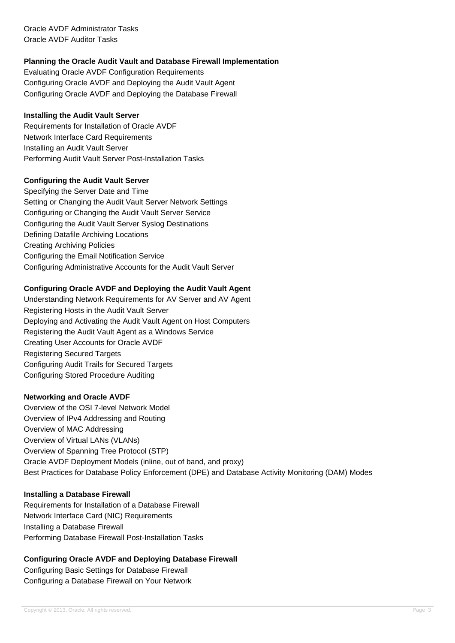Oracle AVDF Administrator Tasks Oracle AVDF Auditor Tasks

## **Planning the Oracle Audit Vault and Database Firewall Implementation**

Evaluating Oracle AVDF Configuration Requirements Configuring Oracle AVDF and Deploying the Audit Vault Agent Configuring Oracle AVDF and Deploying the Database Firewall

### **Installing the Audit Vault Server**

Requirements for Installation of Oracle AVDF Network Interface Card Requirements Installing an Audit Vault Server Performing Audit Vault Server Post-Installation Tasks

### **Configuring the Audit Vault Server**

Specifying the Server Date and Time Setting or Changing the Audit Vault Server Network Settings Configuring or Changing the Audit Vault Server Service Configuring the Audit Vault Server Syslog Destinations Defining Datafile Archiving Locations Creating Archiving Policies Configuring the Email Notification Service Configuring Administrative Accounts for the Audit Vault Server

## **Configuring Oracle AVDF and Deploying the Audit Vault Agent**

Understanding Network Requirements for AV Server and AV Agent Registering Hosts in the Audit Vault Server Deploying and Activating the Audit Vault Agent on Host Computers Registering the Audit Vault Agent as a Windows Service Creating User Accounts for Oracle AVDF Registering Secured Targets Configuring Audit Trails for Secured Targets Configuring Stored Procedure Auditing

#### **Networking and Oracle AVDF**

Overview of the OSI 7-level Network Model Overview of IPv4 Addressing and Routing Overview of MAC Addressing Overview of Virtual LANs (VLANs) Overview of Spanning Tree Protocol (STP) Oracle AVDF Deployment Models (inline, out of band, and proxy) Best Practices for Database Policy Enforcement (DPE) and Database Activity Monitoring (DAM) Modes

#### **Installing a Database Firewall**

Requirements for Installation of a Database Firewall Network Interface Card (NIC) Requirements Installing a Database Firewall Performing Database Firewall Post-Installation Tasks

# **Configuring Oracle AVDF and Deploying Database Firewall**

Configuring Basic Settings for Database Firewall Configuring a Database Firewall on Your Network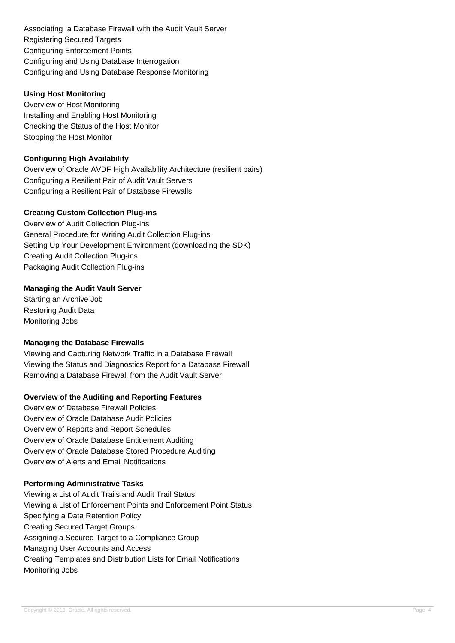Associating a Database Firewall with the Audit Vault Server Registering Secured Targets Configuring Enforcement Points Configuring and Using Database Interrogation Configuring and Using Database Response Monitoring

## **Using Host Monitoring**

Overview of Host Monitoring Installing and Enabling Host Monitoring Checking the Status of the Host Monitor Stopping the Host Monitor

## **Configuring High Availability**

Overview of Oracle AVDF High Availability Architecture (resilient pairs) Configuring a Resilient Pair of Audit Vault Servers Configuring a Resilient Pair of Database Firewalls

## **Creating Custom Collection Plug-ins**

Overview of Audit Collection Plug-ins General Procedure for Writing Audit Collection Plug-ins Setting Up Your Development Environment (downloading the SDK) Creating Audit Collection Plug-ins Packaging Audit Collection Plug-ins

## **Managing the Audit Vault Server**

Starting an Archive Job Restoring Audit Data Monitoring Jobs

## **Managing the Database Firewalls**

Viewing and Capturing Network Traffic in a Database Firewall Viewing the Status and Diagnostics Report for a Database Firewall Removing a Database Firewall from the Audit Vault Server

# **Overview of the Auditing and Reporting Features**

Overview of Database Firewall Policies Overview of Oracle Database Audit Policies Overview of Reports and Report Schedules Overview of Oracle Database Entitlement Auditing Overview of Oracle Database Stored Procedure Auditing Overview of Alerts and Email Notifications

#### **Performing Administrative Tasks**

Viewing a List of Audit Trails and Audit Trail Status Viewing a List of Enforcement Points and Enforcement Point Status Specifying a Data Retention Policy Creating Secured Target Groups Assigning a Secured Target to a Compliance Group Managing User Accounts and Access Creating Templates and Distribution Lists for Email Notifications Monitoring Jobs